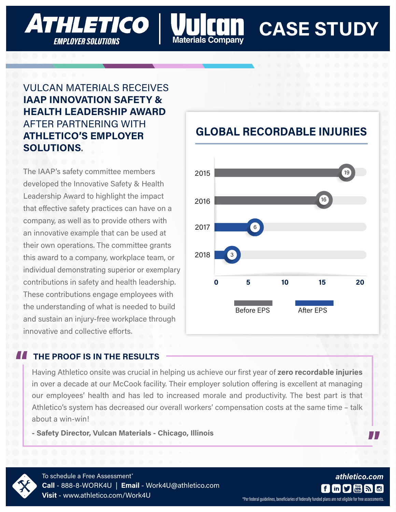# **CASE STUDY**

#### VULCAN MATERIALS RECEIVES **IAAP INNOVATION SAFETY & HEALTH LEADERSHIP AWARD** AFTER PARTNERING WITH **ATHLETICO'S EMPLOYER SOLUTIONS**.

**ATHLETICO** 

**EMPLOYER SOLUTIONS** 

The IAAP's safety committee members developed the Innovative Safety & Health Leadership Award to highlight the impact that effective safety practices can have on a company, as well as to provide others with an innovative example that can be used at their own operations. The committee grants this award to a company, workplace team, or individual demonstrating superior or exemplary contributions in safety and health leadership. These contributions engage employees with the understanding of what is needed to build and sustain an injury-free workplace through innovative and collective efforts.

#### **THE PROOF IS IN THE RESULTS** "<br>|<br>|

Having Athletico onsite was crucial in helping us achieve our first year of **zero recordable injuries** in over a decade at our McCook facility. Their employer solution offering is excellent at managing our employees' health and has led to increased morale and productivity. The best part is that Athletico's system has decreased our overall workers' compensation costs at the same time – talk about a win-win!

laterials Companv

**- Safety Director, Vulcan Materials - Chicago, Illinois**



To schedule a Free Assessment<sup>\*</sup> **Call** - 888-8-WORK4U | **Email** - Work4U@athletico.com **Visit** - www.athletico.com/Work4U

### **GLOBAL RECORDABLE INJURIES**



\*Per federal guidelines, beneficiaries of federally funded plans are not eligible for free assessments.

 $f \mid$ 

**in W** 

*athletico.com*

"